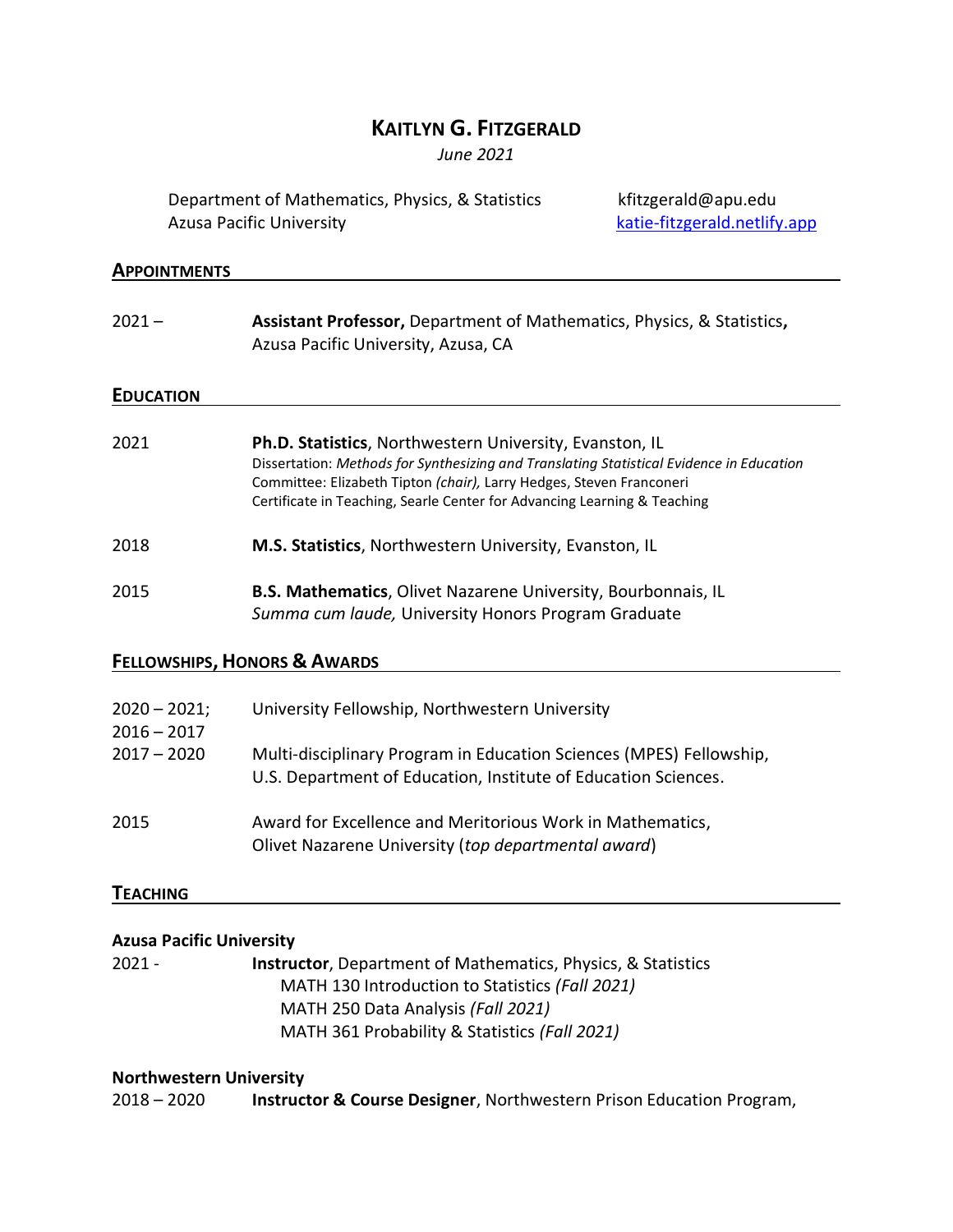# **KAITLYN G. FITZGERALD**

*June 2021*

Department of Mathematics, Physics, & Statistics kfitzgerald@apu.edu Azusa Pacific University **Azusa Pacific University** and *Katie-fitzgerald.netlify.app* 

### **APPOINTMENTS**

| $2021 -$                        | Assistant Professor, Department of Mathematics, Physics, & Statistics,<br>Azusa Pacific University, Azusa, CA                                                                                                                                                                                           |  |  |
|---------------------------------|---------------------------------------------------------------------------------------------------------------------------------------------------------------------------------------------------------------------------------------------------------------------------------------------------------|--|--|
| <b>EDUCATION</b>                |                                                                                                                                                                                                                                                                                                         |  |  |
| 2021                            | Ph.D. Statistics, Northwestern University, Evanston, IL<br>Dissertation: Methods for Synthesizing and Translating Statistical Evidence in Education<br>Committee: Elizabeth Tipton (chair), Larry Hedges, Steven Franconeri<br>Certificate in Teaching, Searle Center for Advancing Learning & Teaching |  |  |
| 2018                            | M.S. Statistics, Northwestern University, Evanston, IL                                                                                                                                                                                                                                                  |  |  |
| 2015                            | B.S. Mathematics, Olivet Nazarene University, Bourbonnais, IL<br>Summa cum laude, University Honors Program Graduate                                                                                                                                                                                    |  |  |
|                                 | <b>FELLOWSHIPS, HONORS &amp; AWARDS</b>                                                                                                                                                                                                                                                                 |  |  |
| $2020 - 2021;$<br>$2016 - 2017$ | University Fellowship, Northwestern University                                                                                                                                                                                                                                                          |  |  |
| $2017 - 2020$                   | Multi-disciplinary Program in Education Sciences (MPES) Fellowship,<br>U.S. Department of Education, Institute of Education Sciences.                                                                                                                                                                   |  |  |
| 2015                            | Award for Excellence and Meritorious Work in Mathematics,<br>Olivet Nazarene University (top departmental award)                                                                                                                                                                                        |  |  |
| <b>TEACHING</b>                 |                                                                                                                                                                                                                                                                                                         |  |  |
| <b>Azusa Pacific University</b> |                                                                                                                                                                                                                                                                                                         |  |  |
| 2021 -                          | <b>Instructor</b> , Department of Mathematics, Physics, & Statistics                                                                                                                                                                                                                                    |  |  |

MATH 130 Introduction to Statistics *(Fall 2021)* MATH 250 Data Analysis *(Fall 2021)* MATH 361 Probability & Statistics *(Fall 2021)*

### **Northwestern University**

2018 – 2020 **Instructor & Course Designer**, Northwestern Prison Education Program,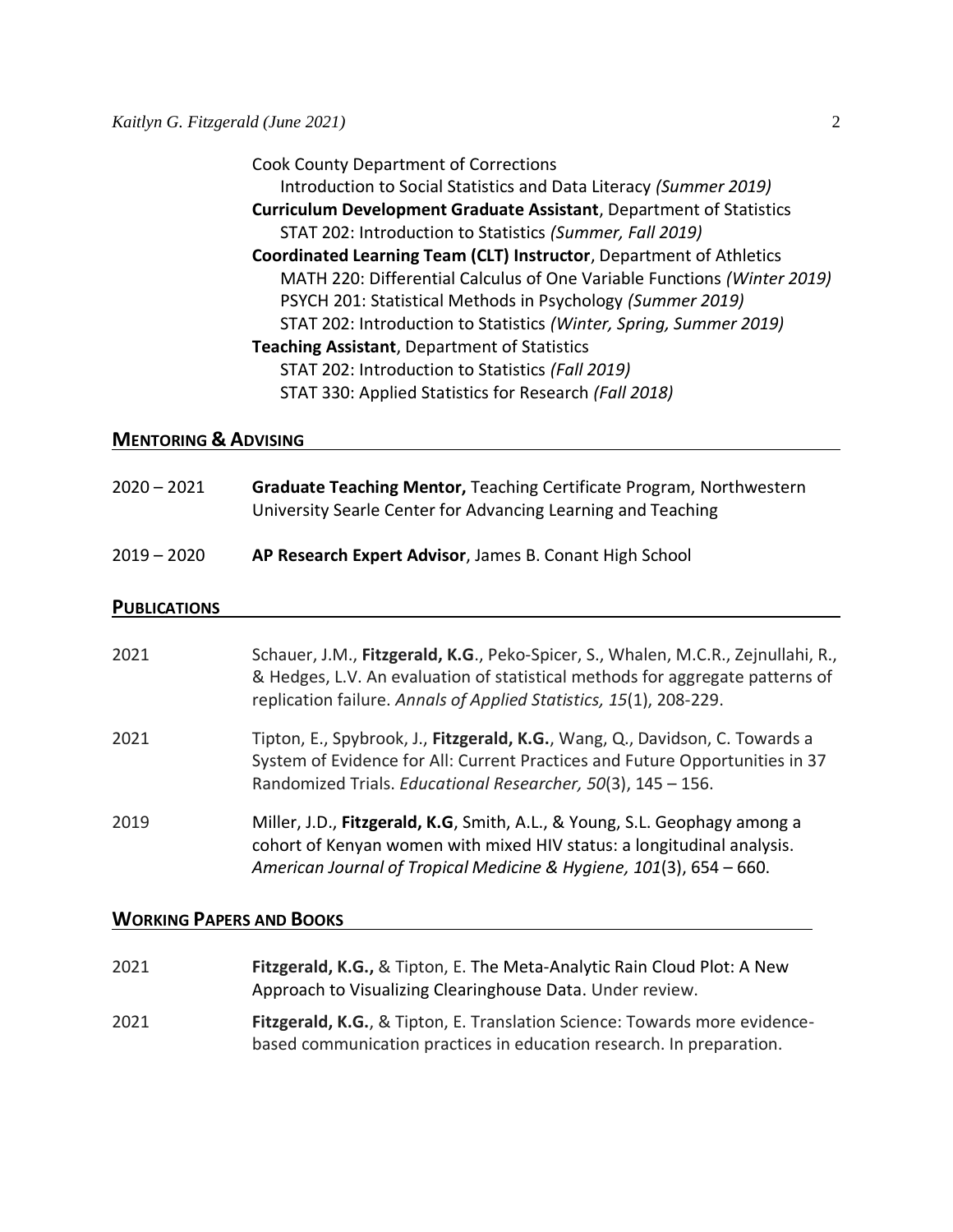Cook County Department of Corrections Introduction to Social Statistics and Data Literacy *(Summer 2019)* **Curriculum Development Graduate Assistant**, Department of Statistics STAT 202: Introduction to Statistics *(Summer, Fall 2019)* **Coordinated Learning Team (CLT) Instructor**, Department of Athletics MATH 220: Differential Calculus of One Variable Functions *(Winter 2019)* PSYCH 201: Statistical Methods in Psychology *(Summer 2019)* STAT 202: Introduction to Statistics *(Winter, Spring, Summer 2019)* **Teaching Assistant**, Department of Statistics STAT 202: Introduction to Statistics *(Fall 2019)* STAT 330: Applied Statistics for Research *(Fall 2018)*

#### **MENTORING & ADVISING**

| $2020 - 2021$ | <b>Graduate Teaching Mentor, Teaching Certificate Program, Northwestern</b><br>University Searle Center for Advancing Learning and Teaching |  |  |
|---------------|---------------------------------------------------------------------------------------------------------------------------------------------|--|--|
| 2019 – 2020   | AP Research Expert Advisor, James B. Conant High School                                                                                     |  |  |

#### **PUBLICATIONS**

| 2021 | Schauer, J.M., Fitzgerald, K.G., Peko-Spicer, S., Whalen, M.C.R., Zejnullahi, R.,<br>& Hedges, L.V. An evaluation of statistical methods for aggregate patterns of<br>replication failure. Annals of Applied Statistics, 15(1), 208-229. |
|------|------------------------------------------------------------------------------------------------------------------------------------------------------------------------------------------------------------------------------------------|
| 2021 | Tipton, E., Spybrook, J., Fitzgerald, K.G., Wang, Q., Davidson, C. Towards a<br>System of Evidence for All: Current Practices and Future Opportunities in 37<br>Randomized Trials. Educational Researcher, 50(3), 145 - 156.             |
| 2019 | Miller, J.D., Fitzgerald, K.G, Smith, A.L., & Young, S.L. Geophagy among a<br>cohort of Kenyan women with mixed HIV status: a longitudinal analysis.<br>American Journal of Tropical Medicine & Hygiene, 101(3), 654 - 660.              |

#### **WORKING PAPERS AND BOOKS**

| 2021 | Fitzgerald, K.G., & Tipton, E. The Meta-Analytic Rain Cloud Plot: A New<br>Approach to Visualizing Clearinghouse Data. Under review.               |
|------|----------------------------------------------------------------------------------------------------------------------------------------------------|
| 2021 | Fitzgerald, K.G., & Tipton, E. Translation Science: Towards more evidence-<br>based communication practices in education research. In preparation. |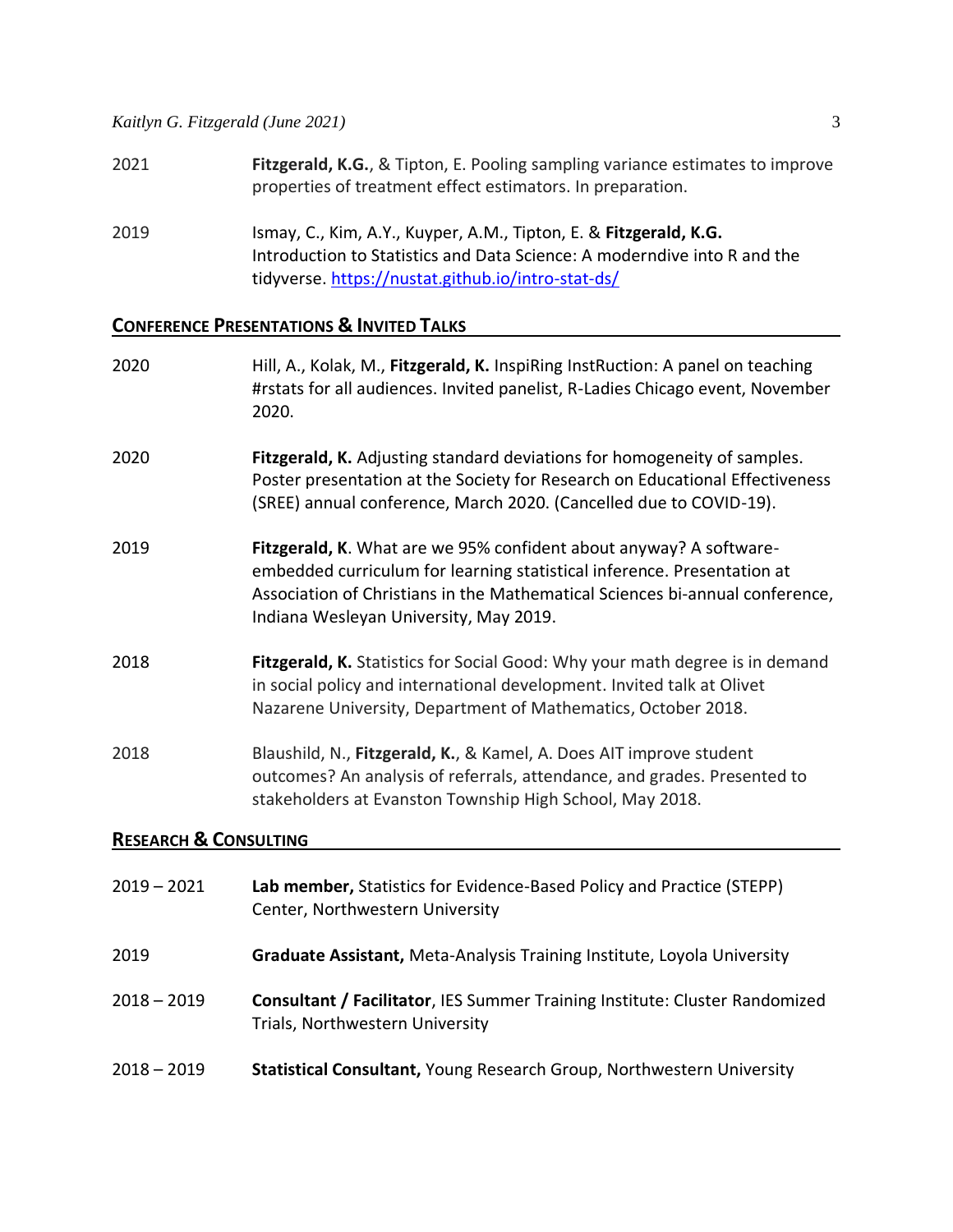*Kaitlyn G. Fitzgerald (June 2021)* 3

- 
- 2021 **Fitzgerald, K.G.**, & Tipton, E. Pooling sampling variance estimates to improve properties of treatment effect estimators. In preparation.
- 2019 Ismay, C., Kim, A.Y., Kuyper, A.M., Tipton, E. & **Fitzgerald, K.G.** Introduction to Statistics and Data Science: A moderndive into R and the tidyverse[. https://nustat.github.io/intro-stat-ds/](https://nustat.github.io/intro-stat-ds/)

# **CONFERENCE PRESENTATIONS & INVITED TALKS**

| 2020                             | Hill, A., Kolak, M., Fitzgerald, K. InspiRing InstRuction: A panel on teaching<br>#rstats for all audiences. Invited panelist, R-Ladies Chicago event, November<br>2020.                                                                                                |  |
|----------------------------------|-------------------------------------------------------------------------------------------------------------------------------------------------------------------------------------------------------------------------------------------------------------------------|--|
| 2020                             | Fitzgerald, K. Adjusting standard deviations for homogeneity of samples.<br>Poster presentation at the Society for Research on Educational Effectiveness<br>(SREE) annual conference, March 2020. (Cancelled due to COVID-19).                                          |  |
| 2019                             | Fitzgerald, K. What are we 95% confident about anyway? A software-<br>embedded curriculum for learning statistical inference. Presentation at<br>Association of Christians in the Mathematical Sciences bi-annual conference,<br>Indiana Wesleyan University, May 2019. |  |
| 2018                             | Fitzgerald, K. Statistics for Social Good: Why your math degree is in demand<br>in social policy and international development. Invited talk at Olivet<br>Nazarene University, Department of Mathematics, October 2018.                                                 |  |
| 2018                             | Blaushild, N., Fitzgerald, K., & Kamel, A. Does AIT improve student<br>outcomes? An analysis of referrals, attendance, and grades. Presented to<br>stakeholders at Evanston Township High School, May 2018.                                                             |  |
| <b>RESEARCH &amp; CONSULTING</b> |                                                                                                                                                                                                                                                                         |  |
| $2019 - 2021$                    | Lab member, Statistics for Evidence-Based Policy and Practice (STEPP)<br>Center, Northwestern University                                                                                                                                                                |  |
| 2019                             | Graduate Assistant, Meta-Analysis Training Institute, Loyola University                                                                                                                                                                                                 |  |

- 2018 2019 **Consultant / Facilitator**, IES Summer Training Institute: Cluster Randomized Trials, Northwestern University
- 2018 2019 **Statistical Consultant,** Young Research Group, Northwestern University